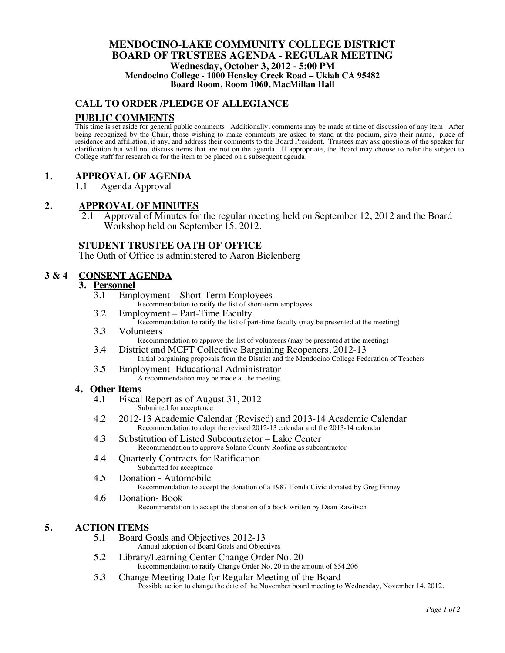#### **MENDOCINO-LAKE COMMUNITY COLLEGE DISTRICT BOARD OF TRUSTEES AGENDA** - **REGULAR MEETING Wednesday, October 3, 2012 - 5:00 PM Mendocino College - 1000 Hensley Creek Road – Ukiah CA 95482 Board Room, Room 1060, MacMillan Hall**

## **CALL TO ORDER /PLEDGE OF ALLEGIANCE**

### **PUBLIC COMMENTS**

This time is set aside for general public comments. Additionally, comments may be made at time of discussion of any item. After being recognized by the Chair, those wishing to make comments are asked to stand at the podium, give their name, place of residence and affiliation, if any, and address their comments to the Board President. Trustees may ask questions of the speaker for clarification but will not discuss items that are not on the agenda. If appropriate, the Board may choose to refer the subject to College staff for research or for the item to be placed on a subsequent agenda.

## **1. APPROVAL OF AGENDA**

1.1 Agenda Approval

### **2. APPROVAL OF MINUTES**

2.1 Approval of Minutes for the regular meeting held on September 12, 2012 and the Board Workshop held on September 15, 2012.

### **STUDENT TRUSTEE OATH OF OFFICE**

The Oath of Office is administered to Aaron Bielenberg

### **3 & 4 CONSENT AGENDA**

# **3. Personnel**

- Employment Short-Term Employees Recommendation to ratify the list of short-term employees
- 3.2 Employment Part-Time Faculty Recommendation to ratify the list of part-time faculty (may be presented at the meeting)
- 3.3 Volunteers Recommendation to approve the list of volunteers (may be presented at the meeting)
- 3.4 District and MCFT Collective Bargaining Reopeners, 2012-13 Initial bargaining proposals from the District and the Mendocino College Federation of Teachers
- 3.5 Employment- Educational Administrator A recommendation may be made at the meeting

#### **4. Other Items**

- 4.1 Fiscal Report as of August 31, 2012 Submitted for acceptance
- 4.2 2012-13 Academic Calendar (Revised) and 2013-14 Academic Calendar Recommendation to adopt the revised 2012-13 calendar and the 2013-14 calendar
- 4.3 Substitution of Listed Subcontractor Lake Center Recommendation to approve Solano County Roofing as subcontractor
- 4.4 Quarterly Contracts for Ratification Submitted for acceptance
- 4.5 Donation Automobile Recommendation to accept the donation of a 1987 Honda Civic donated by Greg Finney
- 4.6 Donation- Book Recommendation to accept the donation of a book written by Dean Rawitsch

### **5. ACTION ITEMS**

- 5.1 Board Goals and Objectives 2012-13
	- Annual adoption of Board Goals and Objectives
- 5.2 Library/Learning Center Change Order No. 20 Recommendation to ratify Change Order No. 20 in the amount of \$54,206
- 5.3 Change Meeting Date for Regular Meeting of the Board Possible action to change the date of the November board meeting to Wednesday, November 14, 2012.